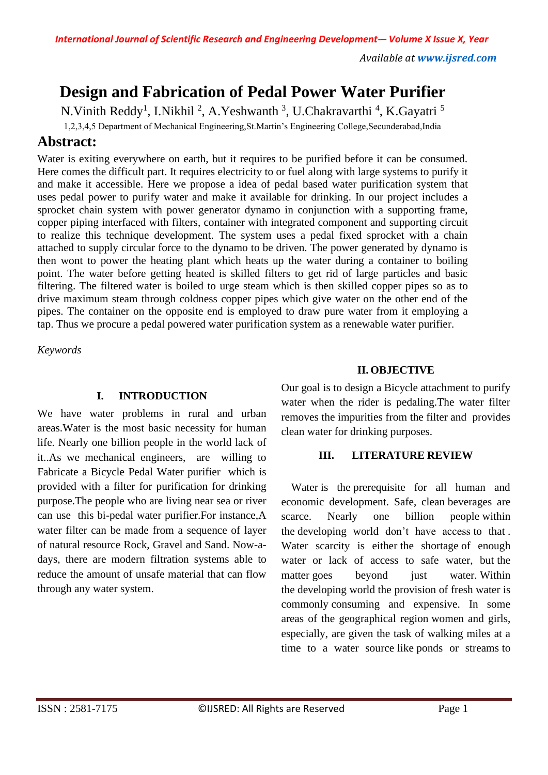# **Design and Fabrication of Pedal Power Water Purifier**

N. Vinith Reddy<sup>1</sup>, I. Nikhil<sup>2</sup>, A. Yeshwanth<sup>3</sup>, U. Chakravarthi<sup>4</sup>, K. Gayatri<sup>5</sup>

1,2,3,4,5 Department of Mechanical Engineering,St.Martin's Engineering College,Secunderabad,India

# **Abstract:**

Water is exiting everywhere on earth, but it requires to be purified before it can be consumed. Here comes the difficult part. It requires electricity to or fuel along with large systems to purify it and make it accessible. Here we propose a idea of pedal based water purification system that uses pedal power to purify water and make it available for drinking. In our project includes a sprocket chain system with power generator dynamo in conjunction with a supporting frame, copper piping interfaced with filters, container with integrated component and supporting circuit to realize this technique development. The system uses a pedal fixed sprocket with a chain attached to supply circular force to the dynamo to be driven. The power generated by dynamo is then wont to power the heating plant which heats up the water during a container to boiling point. The water before getting heated is skilled filters to get rid of large particles and basic filtering. The filtered water is boiled to urge steam which is then skilled copper pipes so as to drive maximum steam through coldness copper pipes which give water on the other end of the pipes. The container on the opposite end is employed to draw pure water from it employing a tap. Thus we procure a pedal powered water purification system as a renewable water purifier.

*Keywords* 

# **I. INTRODUCTION**

We have water problems in rural and urban areas.Water is the most basic necessity for human life. Nearly one billion people in the world lack of it..As we mechanical engineers, are willing to Fabricate a Bicycle Pedal Water purifier which is provided with a filter for purification for drinking purpose.The people who are living near sea or river can use this bi-pedal water purifier.For instance,A water filter can be made from a sequence of layer of natural resource Rock, Gravel and Sand. Now-adays, there are modern filtration systems able to reduce the amount of unsafe material that can flow through any water system.

# **II. OBJECTIVE**

Our goal is to design a Bicycle attachment to purify water when the rider is pedaling.The water filter removes the impurities from the filter and provides clean water for drinking purposes.

# **III. LITERATURE REVIEW**

Water is the prerequisite for all human and economic development. Safe, clean beverages are scarce. Nearly one billion people within the developing world don't have access to that . Water scarcity is either the shortage of enough water or lack of access to safe water, but the matter goes beyond just water. Within the developing world the provision of fresh water is commonly consuming and expensive. In some areas of the geographical region women and girls, especially, are given the task of walking miles at a time to a water source like ponds or streams to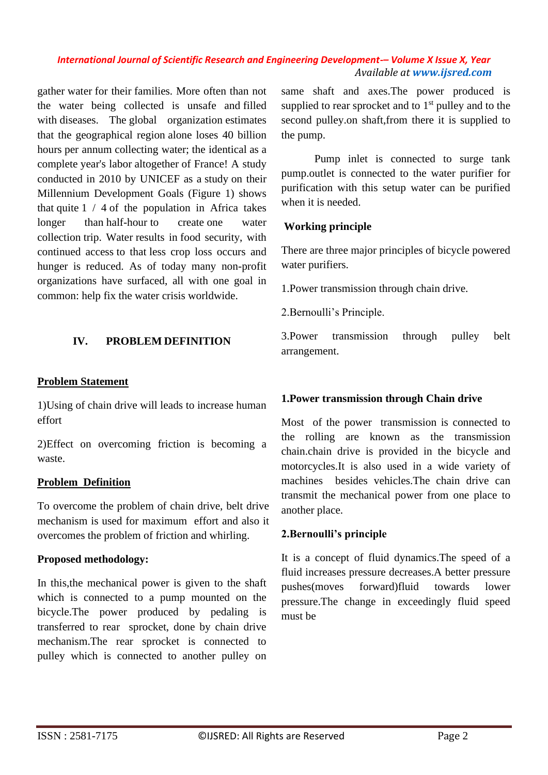gather water for their families. More often than not the water being collected is unsafe and filled with diseases. The global organization estimates that the geographical region alone loses 40 billion hours per annum collecting water; the identical as a complete year's labor altogether of France! A study conducted in 2010 by UNICEF as a study on their Millennium Development Goals (Figure 1) shows that quite  $1 / 4$  of the population in Africa takes longer than half-hour to create one water collection trip. Water results in food security, with continued access to that less crop loss occurs and hunger is reduced. As of today many non-profit organizations have surfaced, all with one goal in common: help fix the water crisis worldwide.

#### **IV. PROBLEM DEFINITION**

#### **Problem Statement**

1)Using of chain drive will leads to increase human effort

2)Effect on overcoming friction is becoming a waste.

#### **Problem Definition**

To overcome the problem of chain drive, belt drive mechanism is used for maximum effort and also it overcomes the problem of friction and whirling.

#### **Proposed methodology:**

In this,the mechanical power is given to the shaft which is connected to a pump mounted on the bicycle.The power produced by pedaling is transferred to rear sprocket, done by chain drive mechanism.The rear sprocket is connected to pulley which is connected to another pulley on same shaft and axes.The power produced is supplied to rear sprocket and to  $1<sup>st</sup>$  pulley and to the second pulley.on shaft,from there it is supplied to the pump.

Pump inlet is connected to surge tank pump.outlet is connected to the water purifier for purification with this setup water can be purified when it is needed.

#### **Working principle**

There are three major principles of bicycle powered water purifiers.

1.Power transmission through chain drive.

2.Bernoulli's Principle.

3.Power transmission through pulley belt arrangement.

#### **1.Power transmission through Chain drive**

Most of the power transmission is connected to the rolling are known as the transmission chain.chain drive is provided in the bicycle and motorcycles.It is also used in a wide variety of machines besides vehicles.The chain drive can transmit the mechanical power from one place to another place.

#### **2.Bernoulli's principle**

It is a concept of fluid dynamics.The speed of a fluid increases pressure decreases.A better pressure pushes(moves forward)fluid towards lower pressure.The change in exceedingly fluid speed must be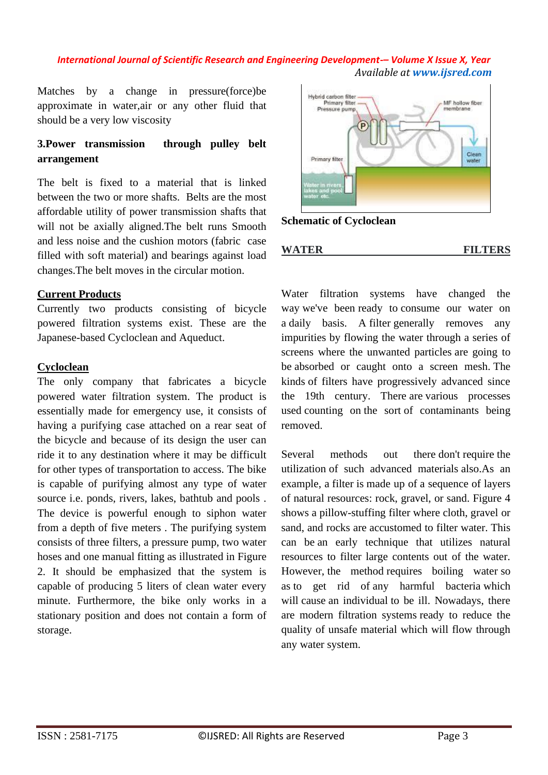Matches by a change in pressure(force)be approximate in water,air or any other fluid that should be a very low viscosity

# **3.Power transmission through pulley belt arrangement**

The belt is fixed to a material that is linked between the two or more shafts. Belts are the most affordable utility of power transmission shafts that will not be axially aligned.The belt runs Smooth and less noise and the cushion motors (fabric case filled with soft material) and bearings against load changes.The belt moves in the circular motion.

#### **Current Products**

Currently two products consisting of bicycle powered filtration systems exist. These are the Japanese-based Cycloclean and Aqueduct.

#### **Cycloclean**

The only company that fabricates a bicycle powered water filtration system. The product is essentially made for emergency use, it consists of having a purifying case attached on a rear seat of the bicycle and because of its design the user can ride it to any destination where it may be difficult for other types of transportation to access. The bike is capable of purifying almost any type of water source i.e. ponds, rivers, lakes, bathtub and pools . The device is powerful enough to siphon water from a depth of five meters . The purifying system consists of three filters, a pressure pump, two water hoses and one manual fitting as illustrated in Figure 2. It should be emphasized that the system is capable of producing 5 liters of clean water every minute. Furthermore, the bike only works in a stationary position and does not contain a form of storage.



**Schematic of Cycloclean**

**WATER FILTERS**

Water filtration systems have changed the way we've been ready to consume our water on a daily basis. A filter generally removes any impurities by flowing the water through a series of screens where the unwanted particles are going to be absorbed or caught onto a screen mesh. The kinds of filters have progressively advanced since the 19th century. There are various processes used counting on the sort of contaminants being removed.

Several methods out there don't require the utilization of such advanced materials also.As an example, a filter is made up of a sequence of layers of natural resources: rock, gravel, or sand. Figure 4 shows a pillow-stuffing filter where cloth, gravel or sand, and rocks are accustomed to filter water. This can be an early technique that utilizes natural resources to filter large contents out of the water. However, the method requires boiling water so as to get rid of any harmful bacteria which will cause an individual to be ill. Nowadays, there are modern filtration systems ready to reduce the quality of unsafe material which will flow through any water system.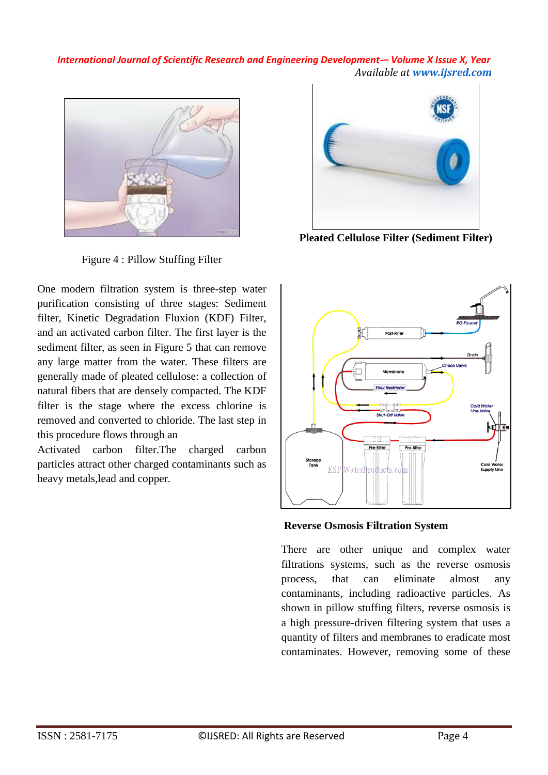

Figure 4 : Pillow Stuffing Filter

One modern filtration system is three-step water purification consisting of three stages: Sediment filter, Kinetic Degradation Fluxion (KDF) Filter, and an activated carbon filter. The first layer is the sediment filter, as seen in Figure 5 that can remove any large matter from the water. These filters are generally made of pleated cellulose: a collection of natural fibers that are densely compacted. The KDF filter is the stage where the excess chlorine is removed and converted to chloride. The last step in this procedure flows through an

Activated carbon filter.The charged carbon particles attract other charged contaminants such as heavy metals,lead and copper.



**Pleated Cellulose Filter (Sediment Filter)**



**Reverse Osmosis Filtration System**

There are other unique and complex water filtrations systems, such as the reverse osmosis process, that can eliminate almost any contaminants, including radioactive particles. As shown in pillow stuffing filters, reverse osmosis is a high pressure-driven filtering system that uses a quantity of filters and membranes to eradicate most contaminates. However, removing some of these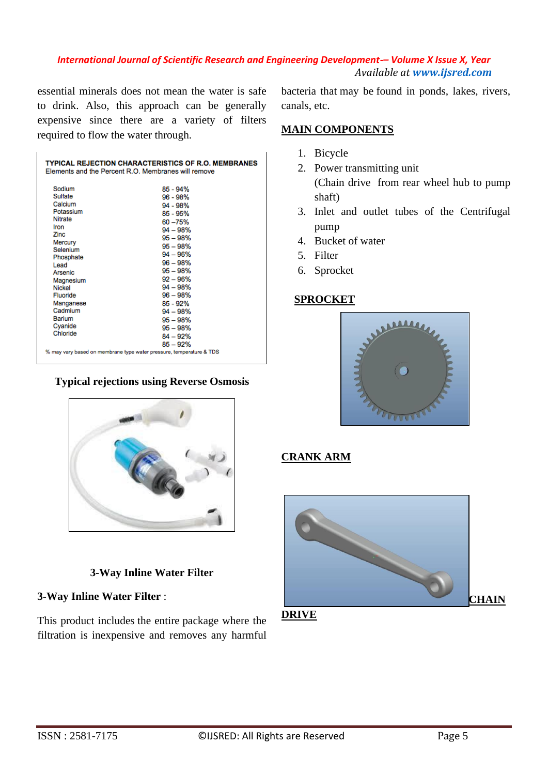essential minerals does not mean the water is safe to drink. Also, this approach can be generally expensive since there are a variety of filters required to flow the water through.

| <b>TYPICAL REJECTION CHARACTERISTICS OF R.O. MEMBRANES</b><br>Elements and the Percent R.O. Membranes will remove                                                                                                              |                                                                                                                                                                                                                                                                                |
|--------------------------------------------------------------------------------------------------------------------------------------------------------------------------------------------------------------------------------|--------------------------------------------------------------------------------------------------------------------------------------------------------------------------------------------------------------------------------------------------------------------------------|
| Sodium<br>Sulfate<br>Calcium<br>Potassium<br><b>Nitrate</b><br>Iron<br>Zinc<br>Mercury<br>Selenium<br>Phosphate<br>Lead<br>Arsenic<br>Magnesium<br>Nickel<br>Fluoride<br>Manganese<br>Cadmium<br>Barium<br>Cyanide<br>Chloride | $85 - 94%$<br>$96 - 98%$<br>$94 - 98%$<br>85 - 95%<br>60 - 75%<br>$94 - 98%$<br>$95 - 98%$<br>$95 - 98%$<br>$94 - 96%$<br>$96 - 98%$<br>$95 - 98%$<br>$92 - 96%$<br>$94 - 98%$<br>$96 - 98%$<br>85 - 92%<br>$94 - 98%$<br>$95 - 98%$<br>$95 - 98%$<br>$84 - 92%$<br>$85 - 92%$ |
| % may vary based on membrane type water pressure, temperature & TDS                                                                                                                                                            |                                                                                                                                                                                                                                                                                |

#### **Typical rejections using Reverse Osmosis**



# **3-Way Inline Water Filter**

# **3-Way Inline Water Filter** :

This product includes the entire package where the filtration is inexpensive and removes any harmful

bacteria that may be found in ponds, lakes, rivers, canals, etc.

#### **MAIN COMPONENTS**

- 1. Bicycle
- 2. Power transmitting unit (Chain drive from rear wheel hub to pump shaft)
- 3. Inlet and outlet tubes of the Centrifugal pump
- 4. Bucket of water
- 5. Filter
- 6. Sprocket

#### **SPROCKET**



# **CRANK ARM**